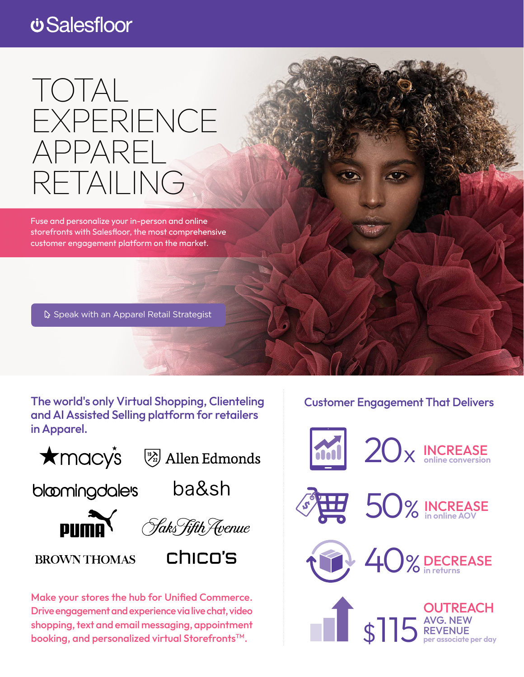## *<u>USalesfloor</u>*

# TOTAL EXPERIENCE APPAREL RETAILING

Fuse and personalize your in-person and online storefronts with Salesfloor, the most comprehensive customer engagement platform on the market.

**S** [Speak with an Apparel Retail Strategist](https://resources.salesfloor.net/apparel-contact-us)

The world's only Virtual Shopping, Clienteling and AI Assisted Selling platform for retailers in Apparel.

 $\bigstar$ macys

 $\left(\frac{1}{22}\right)$  Allen Edmonds

bloomingdalers

ba&sh





**BROWN THOMAS** 



Make your stores the hub for Unified Commerce. Drive engagement and experience via live chat, video shopping, text and email messaging, appointment booking, and personalized virtual Storefronts™.

#### Customer Engagement That Delivers





50% INCREASE **in online AOV**



40% DECREASE  **in returns**

\$115 AVG. NEW REVENUE REVENUE **per associate per day OUTREACH**